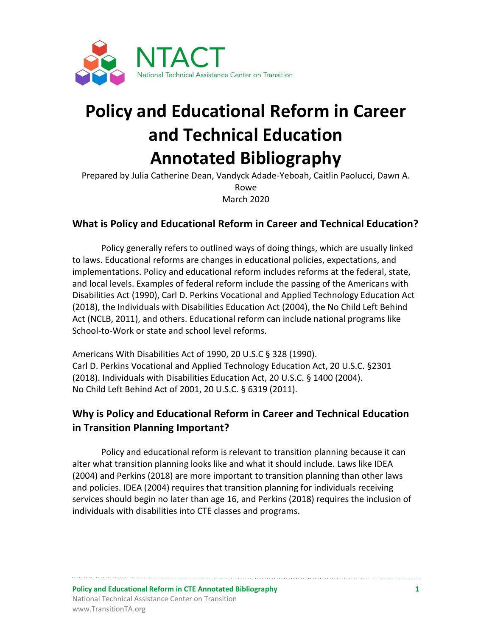

# **Policy and Educational Reform in Career and Technical Education Annotated Bibliography**

Prepared by Julia Catherine Dean, Vandyck Adade-Yeboah, Caitlin Paolucci, Dawn A. Rowe March 2020

## **What is Policy and Educational Reform in Career and Technical Education?**

Policy generally refers to outlined ways of doing things, which are usually linked to laws. Educational reforms are changes in educational policies, expectations, and implementations. Policy and educational reform includes reforms at the federal, state, and local levels. Examples of federal reform include the passing of the Americans with Disabilities Act (1990), Carl D. Perkins Vocational and Applied Technology Education Act (2018), the Individuals with Disabilities Education Act (2004), the No Child Left Behind Act (NCLB, 2011), and others. Educational reform can include national programs like School-to-Work or state and school level reforms.

Americans With Disabilities Act of 1990, 20 U.S.C § 328 (1990). Carl D. Perkins Vocational and Applied Technology Education Act, 20 U.S.C. §2301 (2018). Individuals with Disabilities Education Act, 20 U.S.C. § 1400 (2004). No Child Left Behind Act of 2001, 20 U.S.C. § 6319 (2011).

# **Why is Policy and Educational Reform in Career and Technical Education in Transition Planning Important?**

Policy and educational reform is relevant to transition planning because it can alter what transition planning looks like and what it should include. Laws like IDEA (2004) and Perkins (2018) are more important to transition planning than other laws and policies. IDEA (2004) requires that transition planning for individuals receiving services should begin no later than age 16, and Perkins (2018) requires the inclusion of individuals with disabilities into CTE classes and programs.

**Policy and Educational Reform in CTE Annotated Bibliography 1** National Technical Assistance Center on Transition www.TransitionTA.org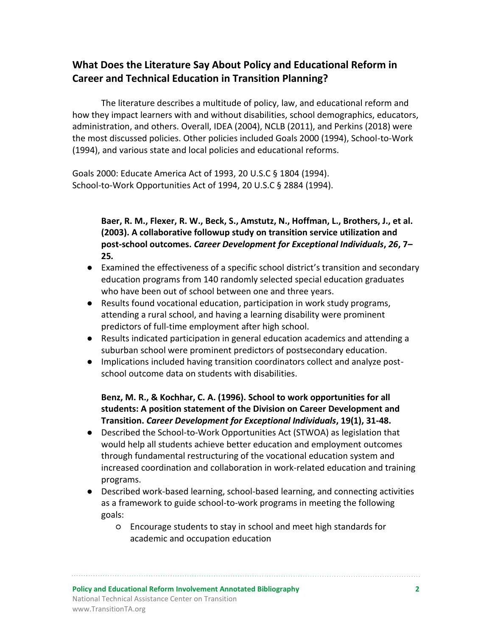# **What Does the Literature Say About Policy and Educational Reform in Career and Technical Education in Transition Planning?**

The literature describes a multitude of policy, law, and educational reform and how they impact learners with and without disabilities, school demographics, educators, administration, and others. Overall, IDEA (2004), NCLB (2011), and Perkins (2018) were the most discussed policies. Other policies included Goals 2000 (1994), School-to-Work (1994), and various state and local policies and educational reforms.

Goals 2000: Educate America Act of 1993, 20 U.S.C § 1804 (1994). School-to-Work Opportunities Act of 1994, 20 U.S.C § 2884 (1994).

## **Baer, R. M., Flexer, R. W., Beck, S., Amstutz, N., Hoffman, L., Brothers, J., et al. (2003). A collaborative followup study on transition service utilization and post-school outcomes.** *Career Development for Exceptional Individuals***,** *26***, 7– 25***.*

- Examined the effectiveness of a specific school district's transition and secondary education programs from 140 randomly selected special education graduates who have been out of school between one and three years.
- Results found vocational education, participation in work study programs, attending a rural school, and having a learning disability were prominent predictors of full-time employment after high school.
- Results indicated participation in general education academics and attending a suburban school were prominent predictors of postsecondary education.
- Implications included having transition coordinators collect and analyze postschool outcome data on students with disabilities.

## **Benz, M. R., & Kochhar, C. A. (1996). School to work opportunities for all students: A position statement of the Division on Career Development and Transition.** *Career Development for Exceptional Individuals***, 19(1), 31-48.**

- Described the School-to-Work Opportunities Act (STWOA) as legislation that would help all students achieve better education and employment outcomes through fundamental restructuring of the vocational education system and increased coordination and collaboration in work-related education and training programs.
- Described work-based learning, school-based learning, and connecting activities as a framework to guide school-to-work programs in meeting the following goals:
	- Encourage students to stay in school and meet high standards for academic and occupation education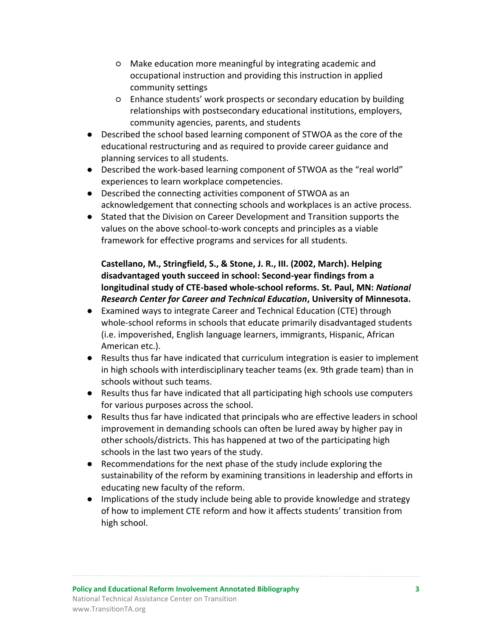- Make education more meaningful by integrating academic and occupational instruction and providing this instruction in applied community settings
- Enhance students' work prospects or secondary education by building relationships with postsecondary educational institutions, employers, community agencies, parents, and students
- Described the school based learning component of STWOA as the core of the educational restructuring and as required to provide career guidance and planning services to all students.
- Described the work-based learning component of STWOA as the "real world" experiences to learn workplace competencies.
- Described the connecting activities component of STWOA as an acknowledgement that connecting schools and workplaces is an active process.
- Stated that the Division on Career Development and Transition supports the values on the above school-to-work concepts and principles as a viable framework for effective programs and services for all students.

## **Castellano, M., Stringfield, S., & Stone, J. R., III. (2002, March). Helping disadvantaged youth succeed in school: Second-year findings from a longitudinal study of CTE-based whole-school reforms. St. Paul, MN:** *National Research Center for Career and Technical Education***, University of Minnesota.**

- Examined ways to integrate Career and Technical Education (CTE) through whole-school reforms in schools that educate primarily disadvantaged students (i.e. impoverished, English language learners, immigrants, Hispanic, African American etc.).
- Results thus far have indicated that curriculum integration is easier to implement in high schools with interdisciplinary teacher teams (ex. 9th grade team) than in schools without such teams.
- Results thus far have indicated that all participating high schools use computers for various purposes across the school.
- Results thus far have indicated that principals who are effective leaders in school improvement in demanding schools can often be lured away by higher pay in other schools/districts. This has happened at two of the participating high schools in the last two years of the study.
- Recommendations for the next phase of the study include exploring the sustainability of the reform by examining transitions in leadership and efforts in educating new faculty of the reform.
- Implications of the study include being able to provide knowledge and strategy of how to implement CTE reform and how it affects students' transition from high school.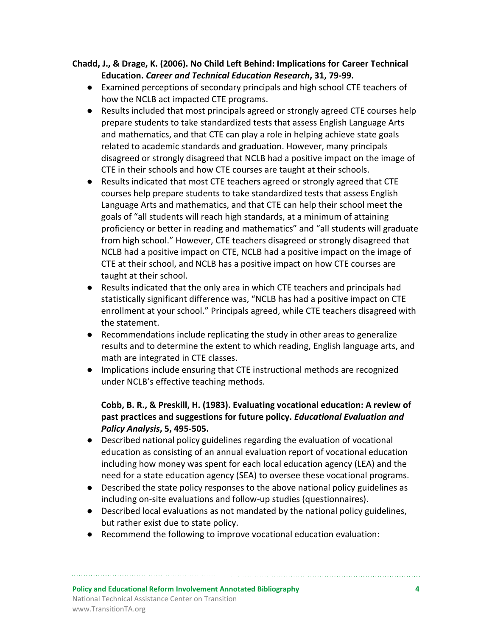## **Chadd, J., & Drage, K. (2006). No Child Left Behind: Implications for Career Technical Education.** *Career and Technical Education Research***, 31, 79-99.**

- Examined perceptions of secondary principals and high school CTE teachers of how the NCLB act impacted CTE programs.
- Results included that most principals agreed or strongly agreed CTE courses help prepare students to take standardized tests that assess English Language Arts and mathematics, and that CTE can play a role in helping achieve state goals related to academic standards and graduation. However, many principals disagreed or strongly disagreed that NCLB had a positive impact on the image of CTE in their schools and how CTE courses are taught at their schools.
- Results indicated that most CTE teachers agreed or strongly agreed that CTE courses help prepare students to take standardized tests that assess English Language Arts and mathematics, and that CTE can help their school meet the goals of "all students will reach high standards, at a minimum of attaining proficiency or better in reading and mathematics" and "all students will graduate from high school." However, CTE teachers disagreed or strongly disagreed that NCLB had a positive impact on CTE, NCLB had a positive impact on the image of CTE at their school, and NCLB has a positive impact on how CTE courses are taught at their school.
- Results indicated that the only area in which CTE teachers and principals had statistically significant difference was, "NCLB has had a positive impact on CTE enrollment at your school." Principals agreed, while CTE teachers disagreed with the statement.
- Recommendations include replicating the study in other areas to generalize results and to determine the extent to which reading, English language arts, and math are integrated in CTE classes.
- Implications include ensuring that CTE instructional methods are recognized under NCLB's effective teaching methods.

## **Cobb, B. R., & Preskill, H. (1983). Evaluating vocational education: A review of past practices and suggestions for future policy.** *Educational Evaluation and Policy Analysis***, 5, 495-505.**

- Described national policy guidelines regarding the evaluation of vocational education as consisting of an annual evaluation report of vocational education including how money was spent for each local education agency (LEA) and the need for a state education agency (SEA) to oversee these vocational programs.
- Described the state policy responses to the above national policy guidelines as including on-site evaluations and follow-up studies (questionnaires).
- Described local evaluations as not mandated by the national policy guidelines, but rather exist due to state policy.
- Recommend the following to improve vocational education evaluation: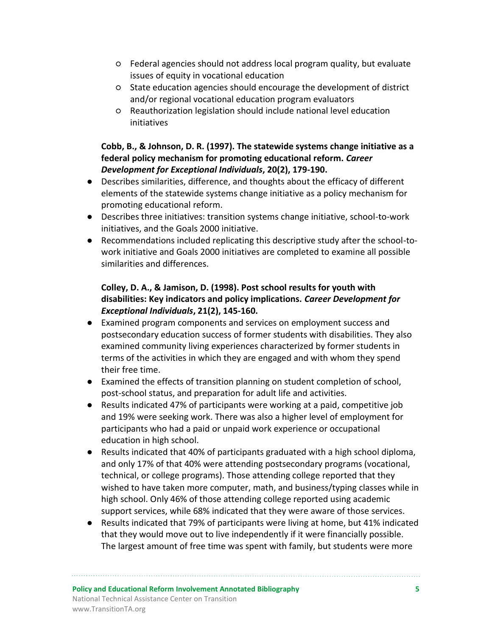- Federal agencies should not address local program quality, but evaluate issues of equity in vocational education
- State education agencies should encourage the development of district and/or regional vocational education program evaluators
- Reauthorization legislation should include national level education initiatives

## **Cobb, B., & Johnson, D. R. (1997). The statewide systems change initiative as a federal policy mechanism for promoting educational reform.** *Career Development for Exceptional Individuals***, 20(2), 179-190.**

- Describes similarities, difference, and thoughts about the efficacy of different elements of the statewide systems change initiative as a policy mechanism for promoting educational reform.
- Describes three initiatives: transition systems change initiative, school-to-work initiatives, and the Goals 2000 initiative.
- Recommendations included replicating this descriptive study after the school-towork initiative and Goals 2000 initiatives are completed to examine all possible similarities and differences.

## **Colley, D. A., & Jamison, D. (1998). Post school results for youth with disabilities: Key indicators and policy implications.** *Career Development for Exceptional Individuals***, 21(2), 145-160.**

- Examined program components and services on employment success and postsecondary education success of former students with disabilities. They also examined community living experiences characterized by former students in terms of the activities in which they are engaged and with whom they spend their free time.
- Examined the effects of transition planning on student completion of school, post-school status, and preparation for adult life and activities.
- Results indicated 47% of participants were working at a paid, competitive job and 19% were seeking work. There was also a higher level of employment for participants who had a paid or unpaid work experience or occupational education in high school.
- Results indicated that 40% of participants graduated with a high school diploma, and only 17% of that 40% were attending postsecondary programs (vocational, technical, or college programs). Those attending college reported that they wished to have taken more computer, math, and business/typing classes while in high school. Only 46% of those attending college reported using academic support services, while 68% indicated that they were aware of those services.
- Results indicated that 79% of participants were living at home, but 41% indicated that they would move out to live independently if it were financially possible. The largest amount of free time was spent with family, but students were more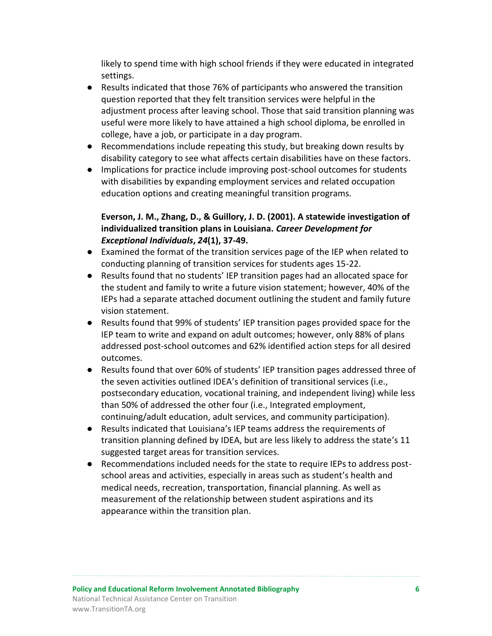likely to spend time with high school friends if they were educated in integrated settings.

- Results indicated that those 76% of participants who answered the transition question reported that they felt transition services were helpful in the adjustment process after leaving school. Those that said transition planning was useful were more likely to have attained a high school diploma, be enrolled in college, have a job, or participate in a day program.
- Recommendations include repeating this study, but breaking down results by disability category to see what affects certain disabilities have on these factors.
- Implications for practice include improving post-school outcomes for students with disabilities by expanding employment services and related occupation education options and creating meaningful transition programs.

## **Everson, J. M., Zhang, D., & Guillory, J. D. (2001). A statewide investigation of individualized transition plans in Louisiana.** *Career Development for Exceptional Individuals***,** *24***(1), 37-49.**

- Examined the format of the transition services page of the IEP when related to conducting planning of transition services for students ages 15-22.
- Results found that no students' IEP transition pages had an allocated space for the student and family to write a future vision statement; however, 40% of the IEPs had a separate attached document outlining the student and family future vision statement.
- Results found that 99% of students' IEP transition pages provided space for the IEP team to write and expand on adult outcomes; however, only 88% of plans addressed post-school outcomes and 62% identified action steps for all desired outcomes.
- Results found that over 60% of students' IEP transition pages addressed three of the seven activities outlined IDEA's definition of transitional services (i.e., postsecondary education, vocational training, and independent living) while less than 50% of addressed the other four (i.e., Integrated employment, continuing/adult education, adult services, and community participation).
- Results indicated that Louisiana's IEP teams address the requirements of transition planning defined by IDEA, but are less likely to address the state's 11 suggested target areas for transition services.
- Recommendations included needs for the state to require IEPs to address postschool areas and activities, especially in areas such as student's health and medical needs, recreation, transportation, financial planning. As well as measurement of the relationship between student aspirations and its appearance within the transition plan.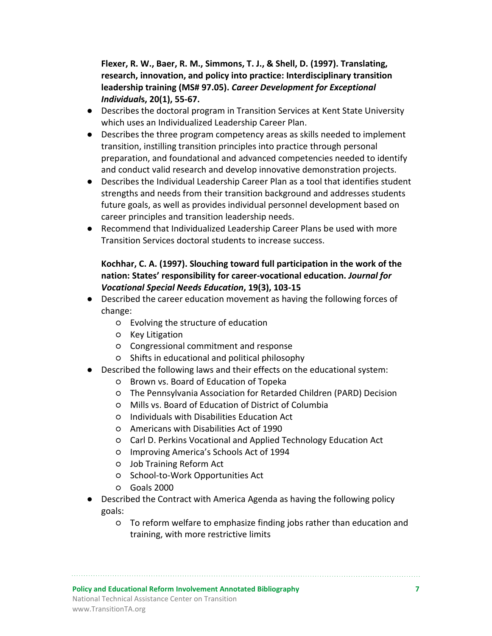**Flexer, R. W., Baer, R. M., Simmons, T. J., & Shell, D. (1997). Translating, research, innovation, and policy into practice: Interdisciplinary transition leadership training (MS# 97.05).** *Career Development for Exceptional Individual***s, 20(1), 55-67.**

- Describes the doctoral program in Transition Services at Kent State University which uses an Individualized Leadership Career Plan.
- Describes the three program competency areas as skills needed to implement transition, instilling transition principles into practice through personal preparation, and foundational and advanced competencies needed to identify and conduct valid research and develop innovative demonstration projects.
- Describes the Individual Leadership Career Plan as a tool that identifies student strengths and needs from their transition background and addresses students future goals, as well as provides individual personnel development based on career principles and transition leadership needs.
- Recommend that Individualized Leadership Career Plans be used with more Transition Services doctoral students to increase success.

## **Kochhar, C. A. (1997). Slouching toward full participation in the work of the nation: States' responsibility for career-vocational education.** *Journal for Vocational Special Needs Education***, 19(3), 103-15**

- Described the career education movement as having the following forces of change:
	- Evolving the structure of education
	- Key Litigation
	- Congressional commitment and response
	- Shifts in educational and political philosophy
- Described the following laws and their effects on the educational system:
	- Brown vs. Board of Education of Topeka
	- The Pennsylvania Association for Retarded Children (PARD) Decision
	- Mills vs. Board of Education of District of Columbia
	- Individuals with Disabilities Education Act
	- Americans with Disabilities Act of 1990
	- Carl D. Perkins Vocational and Applied Technology Education Act
	- Improving America's Schools Act of 1994
	- Job Training Reform Act
	- School-to-Work Opportunities Act
	- Goals 2000
- Described the Contract with America Agenda as having the following policy goals:
	- To reform welfare to emphasize finding jobs rather than education and training, with more restrictive limits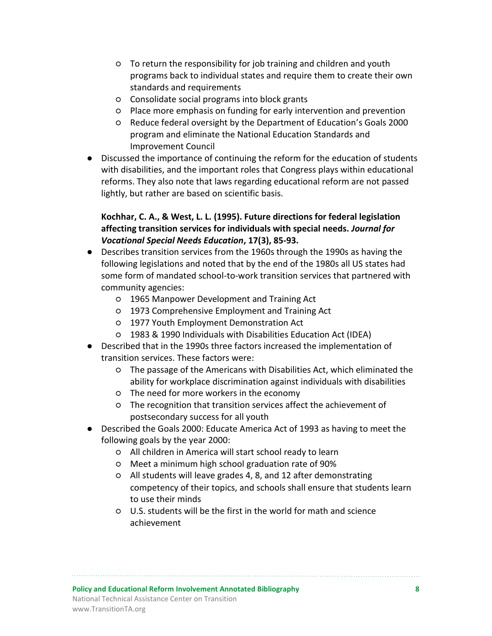- To return the responsibility for job training and children and youth programs back to individual states and require them to create their own standards and requirements
- Consolidate social programs into block grants
- Place more emphasis on funding for early intervention and prevention
- Reduce federal oversight by the Department of Education's Goals 2000 program and eliminate the National Education Standards and Improvement Council
- Discussed the importance of continuing the reform for the education of students with disabilities, and the important roles that Congress plays within educational reforms. They also note that laws regarding educational reform are not passed lightly, but rather are based on scientific basis.

## **Kochhar, C. A., & West, L. L. (1995). Future directions for federal legislation affecting transition services for individuals with special needs.** *Journal for Vocational Special Needs Education***, 17(3), 85-93.**

- Describes transition services from the 1960s through the 1990s as having the following legislations and noted that by the end of the 1980s all US states had some form of mandated school-to-work transition services that partnered with community agencies:
	- 1965 Manpower Development and Training Act
	- 1973 Comprehensive Employment and Training Act
	- 1977 Youth Employment Demonstration Act
	- 1983 & 1990 Individuals with Disabilities Education Act (IDEA)
- Described that in the 1990s three factors increased the implementation of transition services. These factors were:
	- The passage of the Americans with Disabilities Act, which eliminated the ability for workplace discrimination against individuals with disabilities
	- The need for more workers in the economy
	- The recognition that transition services affect the achievement of postsecondary success for all youth
- Described the Goals 2000: Educate America Act of 1993 as having to meet the following goals by the year 2000:
	- All children in America will start school ready to learn
	- Meet a minimum high school graduation rate of 90%
	- All students will leave grades 4, 8, and 12 after demonstrating competency of their topics, and schools shall ensure that students learn to use their minds
	- U.S. students will be the first in the world for math and science achievement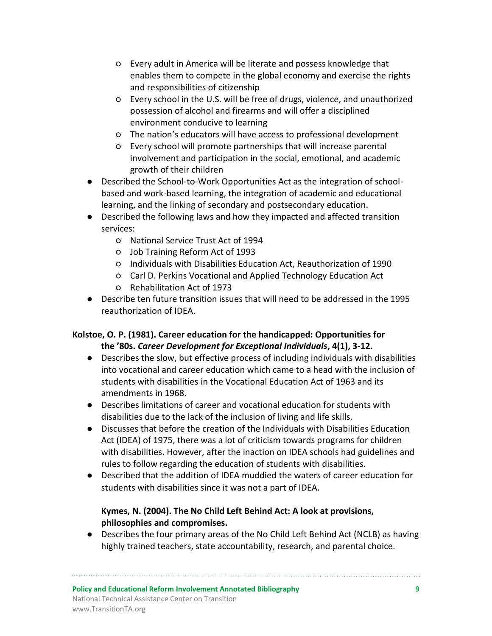- Every adult in America will be literate and possess knowledge that enables them to compete in the global economy and exercise the rights and responsibilities of citizenship
- Every school in the U.S. will be free of drugs, violence, and unauthorized possession of alcohol and firearms and will offer a disciplined environment conducive to learning
- The nation's educators will have access to professional development
- Every school will promote partnerships that will increase parental involvement and participation in the social, emotional, and academic growth of their children
- Described the School-to-Work Opportunities Act as the integration of schoolbased and work-based learning, the integration of academic and educational learning, and the linking of secondary and postsecondary education.
- Described the following laws and how they impacted and affected transition services:
	- National Service Trust Act of 1994
	- Job Training Reform Act of 1993
	- Individuals with Disabilities Education Act, Reauthorization of 1990
	- Carl D. Perkins Vocational and Applied Technology Education Act
	- Rehabilitation Act of 1973
- Describe ten future transition issues that will need to be addressed in the 1995 reauthorization of IDEA.

## **Kolstoe, O. P. (1981). Career education for the handicapped: Opportunities for the '80s.** *Career Development for Exceptional Individuals***, 4(1), 3-12.**

- Describes the slow, but effective process of including individuals with disabilities into vocational and career education which came to a head with the inclusion of students with disabilities in the Vocational Education Act of 1963 and its amendments in 1968.
- Describes limitations of career and vocational education for students with disabilities due to the lack of the inclusion of living and life skills.
- Discusses that before the creation of the Individuals with Disabilities Education Act (IDEA) of 1975, there was a lot of criticism towards programs for children with disabilities. However, after the inaction on IDEA schools had guidelines and rules to follow regarding the education of students with disabilities.
- Described that the addition of IDEA muddied the waters of career education for students with disabilities since it was not a part of IDEA.

## **Kymes, N. (2004). The No Child Left Behind Act: A look at provisions, philosophies and compromises.**

● Describes the four primary areas of the No Child Left Behind Act (NCLB) as having highly trained teachers, state accountability, research, and parental choice.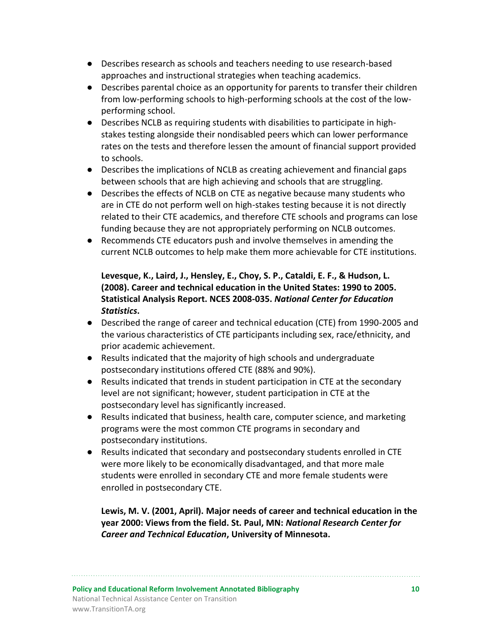- Describes research as schools and teachers needing to use research-based approaches and instructional strategies when teaching academics.
- Describes parental choice as an opportunity for parents to transfer their children from low-performing schools to high-performing schools at the cost of the lowperforming school.
- Describes NCLB as requiring students with disabilities to participate in highstakes testing alongside their nondisabled peers which can lower performance rates on the tests and therefore lessen the amount of financial support provided to schools.
- Describes the implications of NCLB as creating achievement and financial gaps between schools that are high achieving and schools that are struggling.
- Describes the effects of NCLB on CTE as negative because many students who are in CTE do not perform well on high-stakes testing because it is not directly related to their CTE academics, and therefore CTE schools and programs can lose funding because they are not appropriately performing on NCLB outcomes.
- Recommends CTE educators push and involve themselves in amending the current NCLB outcomes to help make them more achievable for CTE institutions.

## **Levesque, K., Laird, J., Hensley, E., Choy, S. P., Cataldi, E. F., & Hudson, L. (2008). Career and technical education in the United States: 1990 to 2005. Statistical Analysis Report. NCES 2008-035.** *National Center for Education Statistics***.**

- Described the range of career and technical education (CTE) from 1990-2005 and the various characteristics of CTE participants including sex, race/ethnicity, and prior academic achievement.
- Results indicated that the majority of high schools and undergraduate postsecondary institutions offered CTE (88% and 90%).
- Results indicated that trends in student participation in CTE at the secondary level are not significant; however, student participation in CTE at the postsecondary level has significantly increased.
- Results indicated that business, health care, computer science, and marketing programs were the most common CTE programs in secondary and postsecondary institutions.
- Results indicated that secondary and postsecondary students enrolled in CTE were more likely to be economically disadvantaged, and that more male students were enrolled in secondary CTE and more female students were enrolled in postsecondary CTE.

**Lewis, M. V. (2001, April). Major needs of career and technical education in the year 2000: Views from the field. St. Paul, MN:** *National Research Center for Career and Technical Education***, University of Minnesota.**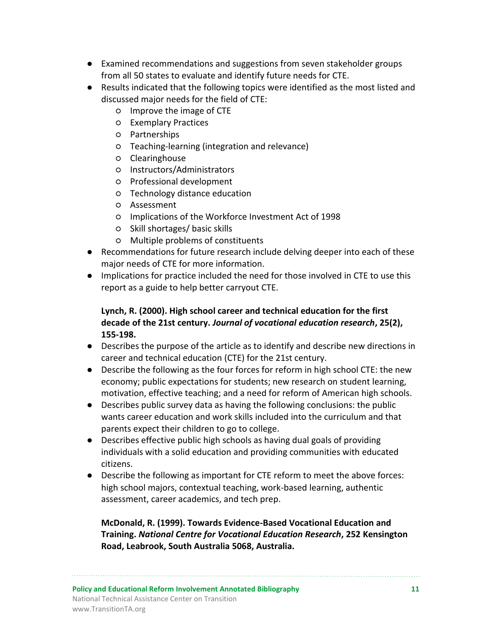- Examined recommendations and suggestions from seven stakeholder groups from all 50 states to evaluate and identify future needs for CTE.
- Results indicated that the following topics were identified as the most listed and discussed major needs for the field of CTE:
	- Improve the image of CTE
	- Exemplary Practices
	- Partnerships
	- Teaching-learning (integration and relevance)
	- Clearinghouse
	- Instructors/Administrators
	- Professional development
	- Technology distance education
	- Assessment
	- Implications of the Workforce Investment Act of 1998
	- Skill shortages/ basic skills
	- Multiple problems of constituents
- Recommendations for future research include delving deeper into each of these major needs of CTE for more information.
- Implications for practice included the need for those involved in CTE to use this report as a guide to help better carryout CTE.

## **Lynch, R. (2000). High school career and technical education for the first decade of the 21st century.** *Journal of vocational education research***, 25(2), 155-198.**

- Describes the purpose of the article as to identify and describe new directions in career and technical education (CTE) for the 21st century.
- Describe the following as the four forces for reform in high school CTE: the new economy; public expectations for students; new research on student learning, motivation, effective teaching; and a need for reform of American high schools.
- Describes public survey data as having the following conclusions: the public wants career education and work skills included into the curriculum and that parents expect their children to go to college.
- Describes effective public high schools as having dual goals of providing individuals with a solid education and providing communities with educated citizens.
- Describe the following as important for CTE reform to meet the above forces: high school majors, contextual teaching, work-based learning, authentic assessment, career academics, and tech prep.

## **McDonald, R. (1999). Towards Evidence-Based Vocational Education and Training.** *National Centre for Vocational Education Research***, 252 Kensington Road, Leabrook, South Australia 5068, Australia.**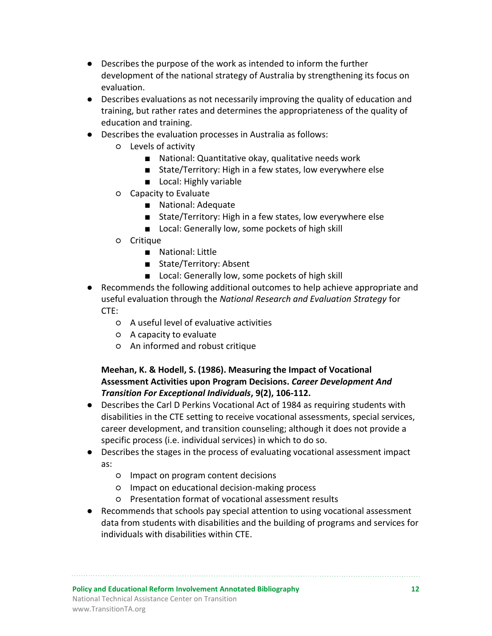- Describes the purpose of the work as intended to inform the further development of the national strategy of Australia by strengthening its focus on evaluation.
- Describes evaluations as not necessarily improving the quality of education and training, but rather rates and determines the appropriateness of the quality of education and training.
- Describes the evaluation processes in Australia as follows:
	- Levels of activity
		- National: Quantitative okay, qualitative needs work
		- State/Territory: High in a few states, low everywhere else
		- Local: Highly variable
	- Capacity to Evaluate
		- National: Adequate
		- State/Territory: High in a few states, low everywhere else
		- Local: Generally low, some pockets of high skill
	- Critique
		- National: Little
		- State/Territory: Absent
		- Local: Generally low, some pockets of high skill
- Recommends the following additional outcomes to help achieve appropriate and useful evaluation through the *National Research and Evaluation Strategy* for CTE:
	- A useful level of evaluative activities
	- A capacity to evaluate
	- An informed and robust critique

## **Meehan, K. & Hodell, S. (1986). Measuring the Impact of Vocational Assessment Activities upon Program Decisions.** *Career Development And Transition For Exceptional Individuals***, 9(2), 106-112.**

- Describes the Carl D Perkins Vocational Act of 1984 as requiring students with disabilities in the CTE setting to receive vocational assessments, special services, career development, and transition counseling; although it does not provide a specific process (i.e. individual services) in which to do so.
- Describes the stages in the process of evaluating vocational assessment impact as:
	- Impact on program content decisions
	- Impact on educational decision-making process
	- Presentation format of vocational assessment results
- Recommends that schools pay special attention to using vocational assessment data from students with disabilities and the building of programs and services for individuals with disabilities within CTE.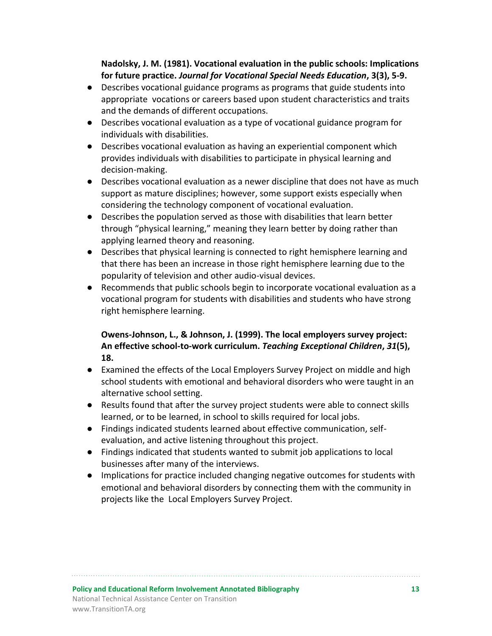**Nadolsky, J. M. (1981). Vocational evaluation in the public schools: Implications for future practice.** *Journal for Vocational Special Needs Education***, 3(3), 5-9.**

- Describes vocational guidance programs as programs that guide students into appropriate vocations or careers based upon student characteristics and traits and the demands of different occupations.
- Describes vocational evaluation as a type of vocational guidance program for individuals with disabilities.
- Describes vocational evaluation as having an experiential component which provides individuals with disabilities to participate in physical learning and decision-making.
- Describes vocational evaluation as a newer discipline that does not have as much support as mature disciplines; however, some support exists especially when considering the technology component of vocational evaluation.
- Describes the population served as those with disabilities that learn better through "physical learning," meaning they learn better by doing rather than applying learned theory and reasoning.
- Describes that physical learning is connected to right hemisphere learning and that there has been an increase in those right hemisphere learning due to the popularity of television and other audio-visual devices.
- Recommends that public schools begin to incorporate vocational evaluation as a vocational program for students with disabilities and students who have strong right hemisphere learning.

## **Owens-Johnson, L., & Johnson, J. (1999). The local employers survey project: An effective school-to-work curriculum.** *Teaching Exceptional Children***,** *31***(5), 18.**

- Examined the effects of the Local Employers Survey Project on middle and high school students with emotional and behavioral disorders who were taught in an alternative school setting.
- Results found that after the survey project students were able to connect skills learned, or to be learned, in school to skills required for local jobs.
- Findings indicated students learned about effective communication, selfevaluation, and active listening throughout this project.
- Findings indicated that students wanted to submit job applications to local businesses after many of the interviews.
- Implications for practice included changing negative outcomes for students with emotional and behavioral disorders by connecting them with the community in projects like the Local Employers Survey Project.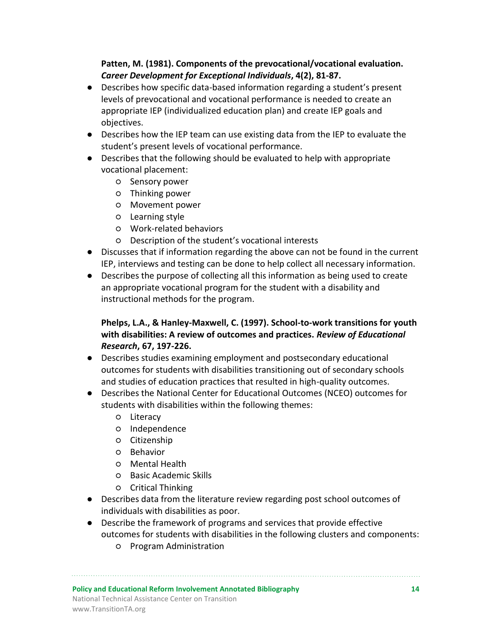## **Patten, M. (1981). Components of the prevocational/vocational evaluation.**  *Career Development for Exceptional Individuals***, 4(2), 81-87.**

- Describes how specific data-based information regarding a student's present levels of prevocational and vocational performance is needed to create an appropriate IEP (individualized education plan) and create IEP goals and objectives.
- Describes how the IEP team can use existing data from the IEP to evaluate the student's present levels of vocational performance.
- Describes that the following should be evaluated to help with appropriate vocational placement:
	- Sensory power
	- Thinking power
	- Movement power
	- Learning style
	- Work-related behaviors
	- Description of the student's vocational interests
- Discusses that if information regarding the above can not be found in the current IEP, interviews and testing can be done to help collect all necessary information.
- Describes the purpose of collecting all this information as being used to create an appropriate vocational program for the student with a disability and instructional methods for the program.

## **Phelps, L.A., & Hanley-Maxwell, C. (1997). School-to-work transitions for youth with disabilities: A review of outcomes and practices.** *Review of Educational Research***, 67, 197-226.**

- Describes studies examining employment and postsecondary educational outcomes for students with disabilities transitioning out of secondary schools and studies of education practices that resulted in high-quality outcomes.
- Describes the National Center for Educational Outcomes (NCEO) outcomes for students with disabilities within the following themes:
	- Literacy
	- Independence
	- Citizenship
	- Behavior
	- Mental Health
	- Basic Academic Skills
	- Critical Thinking
- Describes data from the literature review regarding post school outcomes of individuals with disabilities as poor.
- Describe the framework of programs and services that provide effective outcomes for students with disabilities in the following clusters and components:
	- Program Administration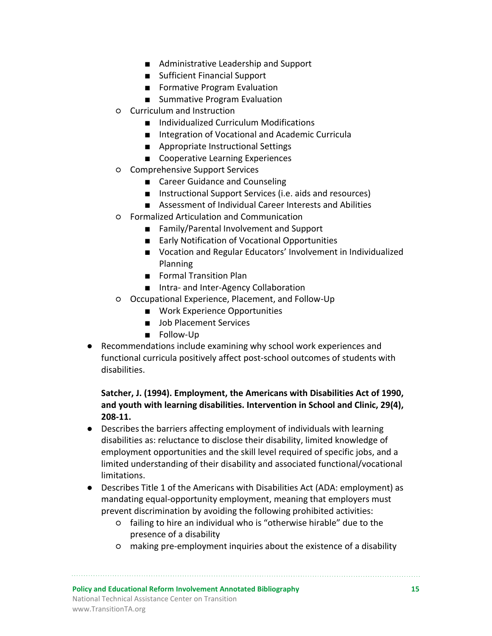- Administrative Leadership and Support
- Sufficient Financial Support
- Formative Program Evaluation
- Summative Program Evaluation
- Curriculum and Instruction
	- Individualized Curriculum Modifications
	- Integration of Vocational and Academic Curricula
	- Appropriate Instructional Settings
	- Cooperative Learning Experiences
- Comprehensive Support Services
	- Career Guidance and Counseling
	- Instructional Support Services (i.e. aids and resources)
	- Assessment of Individual Career Interests and Abilities
- Formalized Articulation and Communication
	- Family/Parental Involvement and Support
	- Early Notification of Vocational Opportunities
	- Vocation and Regular Educators' Involvement in Individualized Planning
	- Formal Transition Plan
	- Intra- and Inter-Agency Collaboration
- Occupational Experience, Placement, and Follow-Up
	- Work Experience Opportunities
	- Job Placement Services
	- Follow-Up
- Recommendations include examining why school work experiences and functional curricula positively affect post-school outcomes of students with disabilities.

## **Satcher, J. (1994). Employment, the Americans with Disabilities Act of 1990, and youth with learning disabilities. Intervention in School and Clinic, 29(4), 208-11.**

- Describes the barriers affecting employment of individuals with learning disabilities as: reluctance to disclose their disability, limited knowledge of employment opportunities and the skill level required of specific jobs, and a limited understanding of their disability and associated functional/vocational limitations.
- Describes Title 1 of the Americans with Disabilities Act (ADA: employment) as mandating equal-opportunity employment, meaning that employers must prevent discrimination by avoiding the following prohibited activities:
	- failing to hire an individual who is "otherwise hirable" due to the presence of a disability
	- making pre-employment inquiries about the existence of a disability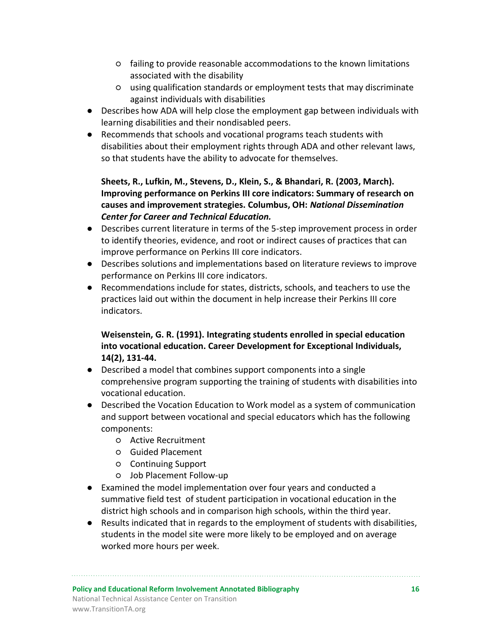- failing to provide reasonable accommodations to the known limitations associated with the disability
- using qualification standards or employment tests that may discriminate against individuals with disabilities
- Describes how ADA will help close the employment gap between individuals with learning disabilities and their nondisabled peers.
- Recommends that schools and vocational programs teach students with disabilities about their employment rights through ADA and other relevant laws, so that students have the ability to advocate for themselves.

**Sheets, R., Lufkin, M., Stevens, D., Klein, S., & Bhandari, R. (2003, March). Improving performance on Perkins III core indicators: Summary of research on causes and improvement strategies. Columbus, OH:** *National Dissemination Center for Career and Technical Education.*

- Describes current literature in terms of the 5-step improvement process in order to identify theories, evidence, and root or indirect causes of practices that can improve performance on Perkins III core indicators.
- Describes solutions and implementations based on literature reviews to improve performance on Perkins III core indicators.
- Recommendations include for states, districts, schools, and teachers to use the practices laid out within the document in help increase their Perkins III core indicators.

## **Weisenstein, G. R. (1991). Integrating students enrolled in special education into vocational education. Career Development for Exceptional Individuals, 14(2), 131-44.**

- Described a model that combines support components into a single comprehensive program supporting the training of students with disabilities into vocational education.
- Described the Vocation Education to Work model as a system of communication and support between vocational and special educators which has the following components:
	- Active Recruitment
	- Guided Placement
	- Continuing Support
	- Job Placement Follow-up
- Examined the model implementation over four years and conducted a summative field test of student participation in vocational education in the district high schools and in comparison high schools, within the third year.
- Results indicated that in regards to the employment of students with disabilities, students in the model site were more likely to be employed and on average worked more hours per week.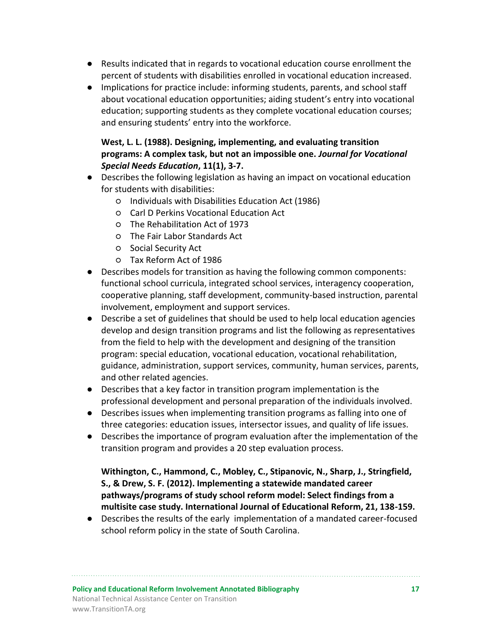- Results indicated that in regards to vocational education course enrollment the percent of students with disabilities enrolled in vocational education increased.
- Implications for practice include: informing students, parents, and school staff about vocational education opportunities; aiding student's entry into vocational education; supporting students as they complete vocational education courses; and ensuring students' entry into the workforce.

## **West, L. L. (1988). Designing, implementing, and evaluating transition programs: A complex task, but not an impossible one.** *Journal for Vocational Special Needs Education***, 11(1), 3-7.**

- Describes the following legislation as having an impact on vocational education for students with disabilities:
	- Individuals with Disabilities Education Act (1986)
	- Carl D Perkins Vocational Education Act
	- The Rehabilitation Act of 1973
	- The Fair Labor Standards Act
	- Social Security Act
	- Tax Reform Act of 1986
- Describes models for transition as having the following common components: functional school curricula, integrated school services, interagency cooperation, cooperative planning, staff development, community-based instruction, parental involvement, employment and support services.
- Describe a set of guidelines that should be used to help local education agencies develop and design transition programs and list the following as representatives from the field to help with the development and designing of the transition program: special education, vocational education, vocational rehabilitation, guidance, administration, support services, community, human services, parents, and other related agencies.
- Describes that a key factor in transition program implementation is the professional development and personal preparation of the individuals involved.
- Describes issues when implementing transition programs as falling into one of three categories: education issues, intersector issues, and quality of life issues.
- Describes the importance of program evaluation after the implementation of the transition program and provides a 20 step evaluation process.

**Withington, C., Hammond, C., Mobley, C., Stipanovic, N., Sharp, J., Stringfield, S., & Drew, S. F. (2012). Implementing a statewide mandated career pathways/programs of study school reform model: Select findings from a multisite case study. International Journal of Educational Reform, 21, 138-159.**

● Describes the results of the early implementation of a mandated career-focused school reform policy in the state of South Carolina.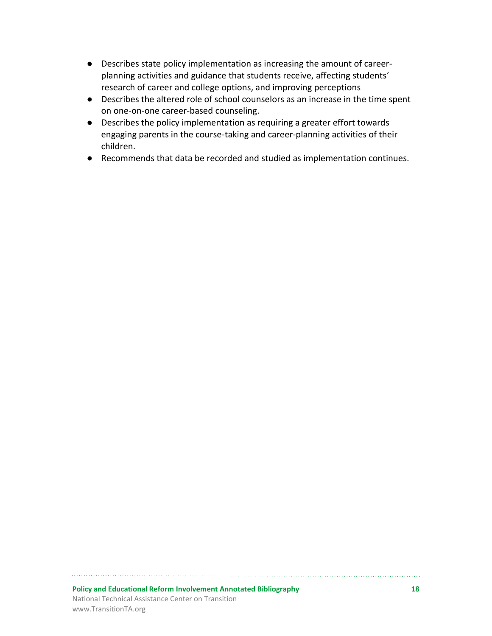- Describes state policy implementation as increasing the amount of careerplanning activities and guidance that students receive, affecting students' research of career and college options, and improving perceptions
- Describes the altered role of school counselors as an increase in the time spent on one-on-one career-based counseling.
- Describes the policy implementation as requiring a greater effort towards engaging parents in the course-taking and career-planning activities of their children.
- Recommends that data be recorded and studied as implementation continues.